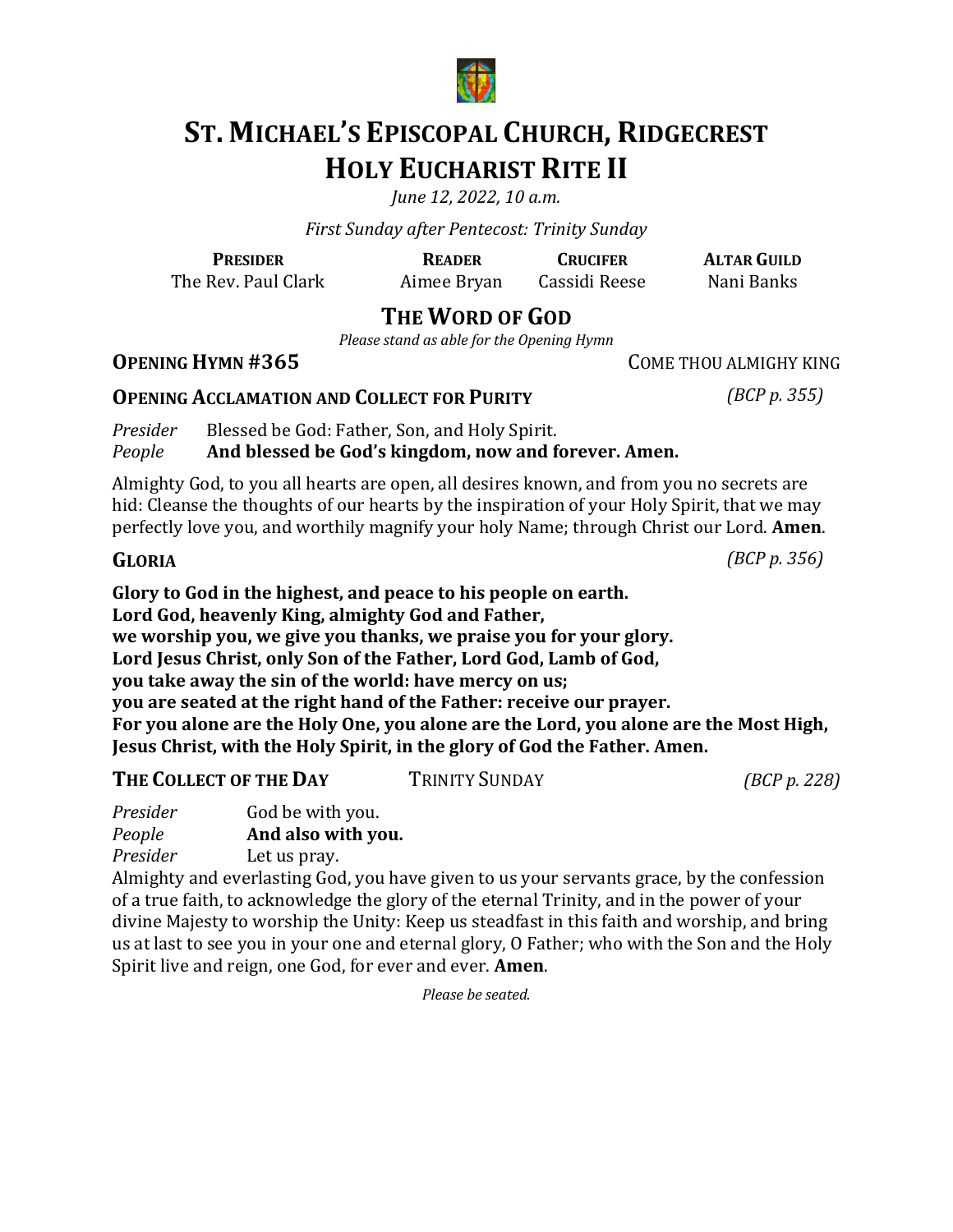

# **ST. MICHAEL'S EPISCOPAL CHURCH, RIDGECREST HOLY EUCHARIST RITE II**

*June* 12, 2022, 10 a.m.

*First Sunday after Pentecost: Trinity Sunday*

The Rev. Paul Clark Aimee Bryan Cassidi Reese Nani Banks

**PRESIDER READER CRUCIFER ALTAR GUILD**

# **THE WORD OF GOD**

*Please stand as able for the Opening Hymn* 

### **OPENING HYMN #365** COME THOU ALMIGHY KING

### **OPENING ACCLAMATION AND COLLECT FOR PURITY** *(BCP p. 355)*

*Presider* Blessed be God: Father, Son, and Holy Spirit.<br>*People* **And blessed be God's kingdom, now and f** And blessed be God's kingdom, now and forever. Amen.

Almighty God, to you all hearts are open, all desires known, and from you no secrets are hid: Cleanse the thoughts of our hearts by the inspiration of your Holy Spirit, that we may perfectly love you, and worthily magnify your holy Name; through Christ our Lord. **Amen.** 

Glory to God in the highest, and peace to his people on earth. Lord God, heavenly King, almighty God and Father, we worship you, we give you thanks, we praise you for your glory. Lord Jesus Christ, only Son of the Father, Lord God, Lamb of God, **you take away the sin of the world: have mercy on us; you are seated at the right hand of the Father: receive our prayer.** For you alone are the Holy One, you alone are the Lord, you alone are the Most High, **Jesus Christ, with the Holy Spirit, in the glory of God the Father. Amen.** 

| THE COLLECT OF THE DAY | TRINITY SUNDAY | (BCP p. 228) |
|------------------------|----------------|--------------|
|------------------------|----------------|--------------|

| Presider | God be with you.<br>And also with you. |  |
|----------|----------------------------------------|--|
| People   |                                        |  |
| Presider | Let us pray.                           |  |

Almighty and everlasting God, you have given to us your servants grace, by the confession  $\,$ of a true faith, to acknowledge the glory of the eternal Trinity, and in the power of your divine Majesty to worship the Unity: Keep us steadfast in this faith and worship, and bring us at last to see you in your one and eternal glory, O Father; who with the Son and the Holy Spirit live and reign, one God, for ever and ever. **Amen**.

*Please be seated.*

**GLORIA** *(BCP p. 356)*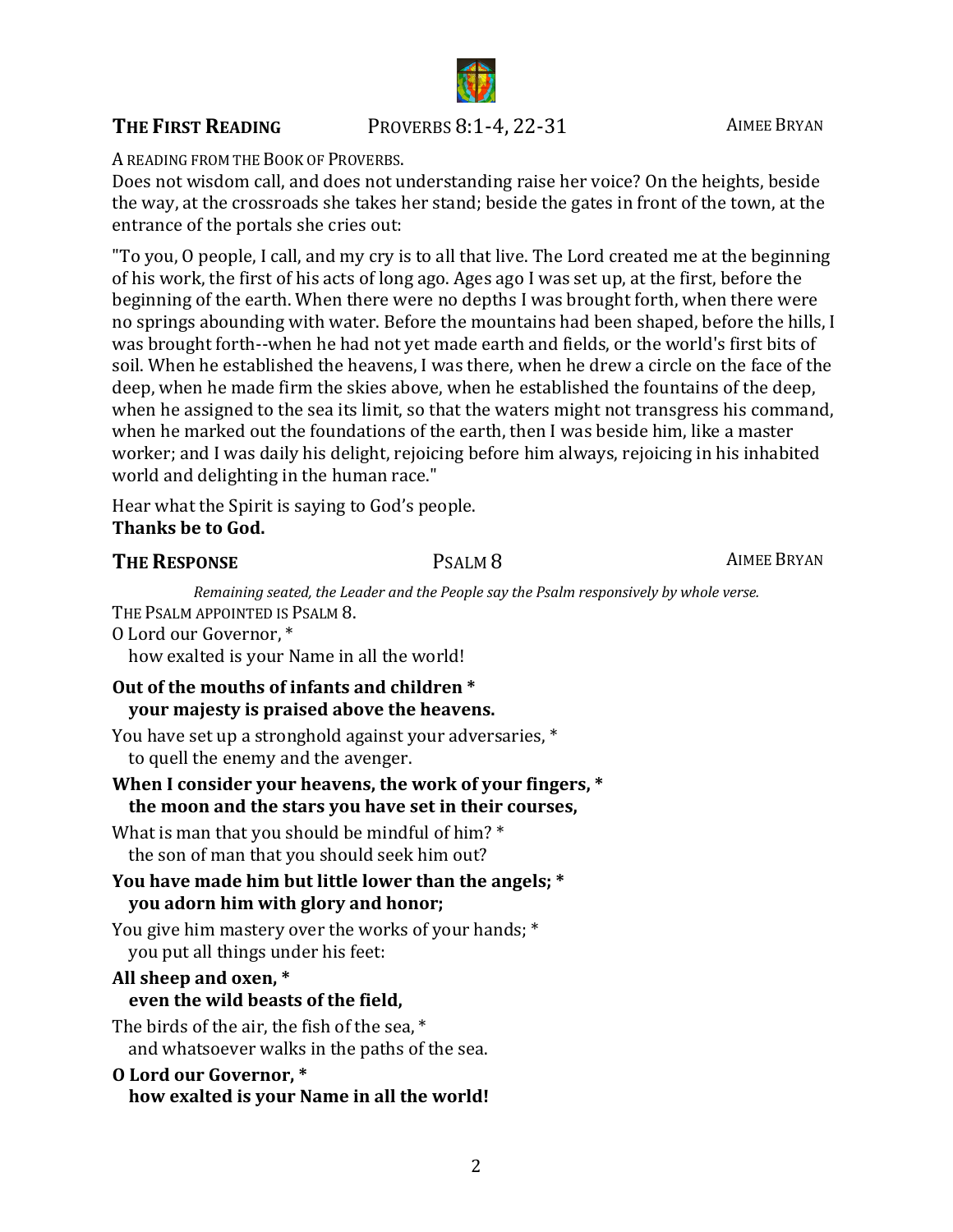#### **THE FIRST READING** PROVERBS 8:1-4, 22-31 AIMEE BRYAN

A READING FROM THE BOOK OF PROVERBS.

Does not wisdom call, and does not understanding raise her voice? On the heights, beside the way, at the crossroads she takes her stand; beside the gates in front of the town, at the entrance of the portals she cries out:

"To you, O people, I call, and my cry is to all that live. The Lord created me at the beginning of his work, the first of his acts of long ago. Ages ago I was set up, at the first, before the beginning of the earth. When there were no depths I was brought forth, when there were no springs abounding with water. Before the mountains had been shaped, before the hills, I was brought forth--when he had not yet made earth and fields, or the world's first bits of soil. When he established the heavens, I was there, when he drew a circle on the face of the deep, when he made firm the skies above, when he established the fountains of the deep, when he assigned to the sea its limit, so that the waters might not transgress his command, when he marked out the foundations of the earth, then I was beside him, like a master worker; and I was daily his delight, rejoicing before him always, rejoicing in his inhabited world and delighting in the human race."

Hear what the Spirit is saying to God's people. **Thanks be to God.** 

#### **THE RESPONSE** PSALM 8 **PSALM 8** AIMEE BRYAN

*Remaining seated, the Leader and the People say the Psalm responsively by whole verse.* THE PSALM APPOINTED IS PSALM 8.

O Lord our Governor, \*

how exalted is your Name in all the world!

### **Out of the mouths of infants and children** \* **your majesty is praised above the heavens.**

You have set up a stronghold against your adversaries, \* to quell the enemy and the avenger.

#### When I consider your heavens, the work of your fingers, \* the moon and the stars you have set in their courses,

What is man that you should be mindful of him?  $*$ the son of man that you should seek him out?

#### You have made him but little lower than the angels: \* **you** adorn him with glory and honor;

You give him mastery over the works of your hands; \* you put all things under his feet:

#### All sheep and oxen,  $*$

#### even the wild beasts of the field,

The birds of the air, the fish of the sea,  $*$ and whatsoever walks in the paths of the sea.

#### **O Lord our Governor, \*** how exalted is your Name in all the world!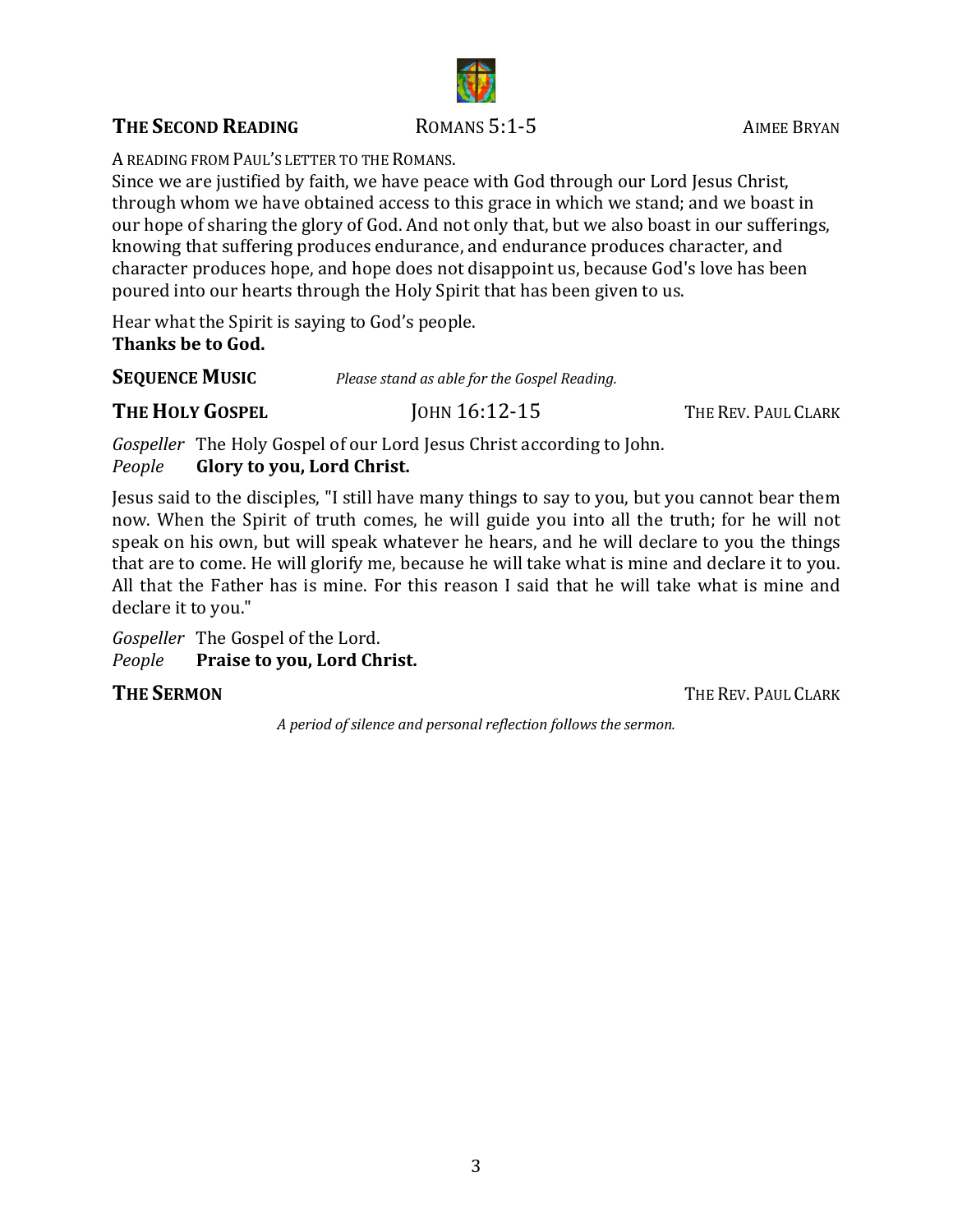# **THE SECOND READING** ROMANS 5:1-5 AIMEE BRYAN

A READING FROM PAUL'S LETTER TO THE ROMANS.

Since we are justified by faith, we have peace with God through our Lord Jesus Christ, through whom we have obtained access to this grace in which we stand; and we boast in our hope of sharing the glory of God. And not only that, but we also boast in our sufferings, knowing that suffering produces endurance, and endurance produces character, and character produces hope, and hope does not disappoint us, because God's love has been poured into our hearts through the Holy Spirit that has been given to us.

Hear what the Spirit is saying to God's people. **Thanks be to God.** 

**SEQUENCE MUSIC** *Please stand as able for the Gospel Reading.* 

### **THE HOLY GOSPEL** JOHN 16:12-15 THE REV. PAUL CLARK

*Gospeller* The Holy Gospel of our Lord Jesus Christ according to John.<br>People **Glory to you, Lord Christ. Glory to you, Lord Christ.** 

Jesus said to the disciples, "I still have many things to say to you, but you cannot bear them now. When the Spirit of truth comes, he will guide you into all the truth; for he will not speak on his own, but will speak whatever he hears, and he will declare to you the things that are to come. He will glorify me, because he will take what is mine and declare it to you. All that the Father has is mine. For this reason I said that he will take what is mine and declare it to you."

*Gospeller* The Gospel of the Lord.<br>*People* Praise to you, Lord Ch

**Praise to you, Lord Christ.** 

**THE SERMON** THE REV. PAUL CLARK

*A period of silence and personal reflection follows the sermon.*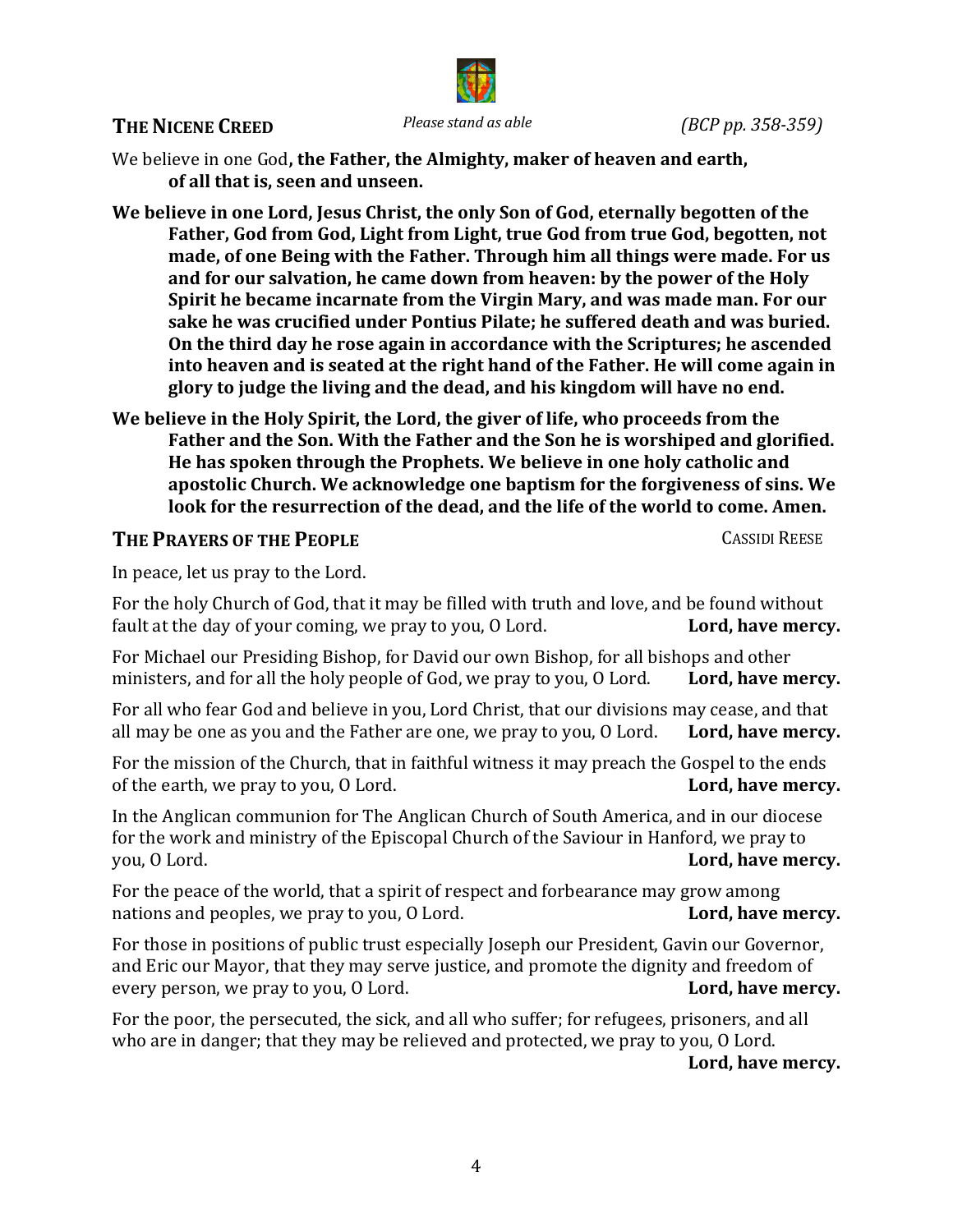#### **THE NICENE CREED** *Please stand as able (BCP pp. 358-359)*



We believe in one God, the Father, the Almighty, maker of heaven and earth, of all that is, seen and unseen.

We believe in one Lord, Jesus Christ, the only Son of God, eternally begotten of the Father, God from God, Light from Light, true God from true God, begotten, not made, of one Being with the Father. Through him all things were made. For us and for our salvation, he came down from heaven: by the power of the Holy **Spirit he became incarnate from the Virgin Mary, and was made man. For our** sake he was crucified under Pontius Pilate; he suffered death and was buried. On the third day he rose again in accordance with the Scriptures; he ascended into heaven and is seated at the right hand of the Father. He will come again in glory to judge the living and the dead, and his kingdom will have no end.

We believe in the Holy Spirit, the Lord, the giver of life, who proceeds from the **Father and the Son. With the Father and the Son he is worshiped and glorified.** He has spoken through the Prophets. We believe in one holy catholic and apostolic Church. We acknowledge one baptism for the forgiveness of sins. We look for the resurrection of the dead, and the life of the world to come. Amen.

#### **THE PRAYERS OF THE PEOPLE CASSIDI REESE**

In peace, let us pray to the Lord.

For the holy Church of God, that it may be filled with truth and love, and be found without fault at the day of your coming, we pray to you, O Lord. **Lord, have mercy.** fault at the day of your coming, we pray to you, O Lord.

For Michael our Presiding Bishop, for David our own Bishop, for all bishops and other ministers, and for all the holy people of God, we pray to you, O Lord. Lord, have mercy. ministers, and for all the holy people of God, we pray to you, O Lord.

For all who fear God and believe in you, Lord Christ, that our divisions may cease, and that all may be one as you and the Father are one, we pray to you, O Lord. Lord, have mercy. all may be one as you and the Father are one, we pray to you, O Lord.

For the mission of the Church, that in faithful witness it may preach the Gospel to the ends of the earth, we pray to you, O Lord. **Lord, have mercy.** of the earth, we pray to you, O Lord.

In the Anglican communion for The Anglican Church of South America, and in our diocese for the work and ministry of the Episcopal Church of the Saviour in Hanford, we pray to you, O Lord. Lord, have mercy.

For the peace of the world, that a spirit of respect and forbearance may grow among nations and peoples, we pray to you, O Lord.  $Lord$ , have mercy. nations and peoples, we pray to you, O Lord.

For those in positions of public trust especially Joseph our President, Gavin our Governor, and Eric our Mayor, that they may serve justice, and promote the dignity and freedom of every person, we pray to you, O Lord. every person, we pray to you, O Lord.

For the poor, the persecuted, the sick, and all who suffer; for refugees, prisoners, and all who are in danger; that they may be relieved and protected, we pray to you, O Lord.

Lord, have mercy.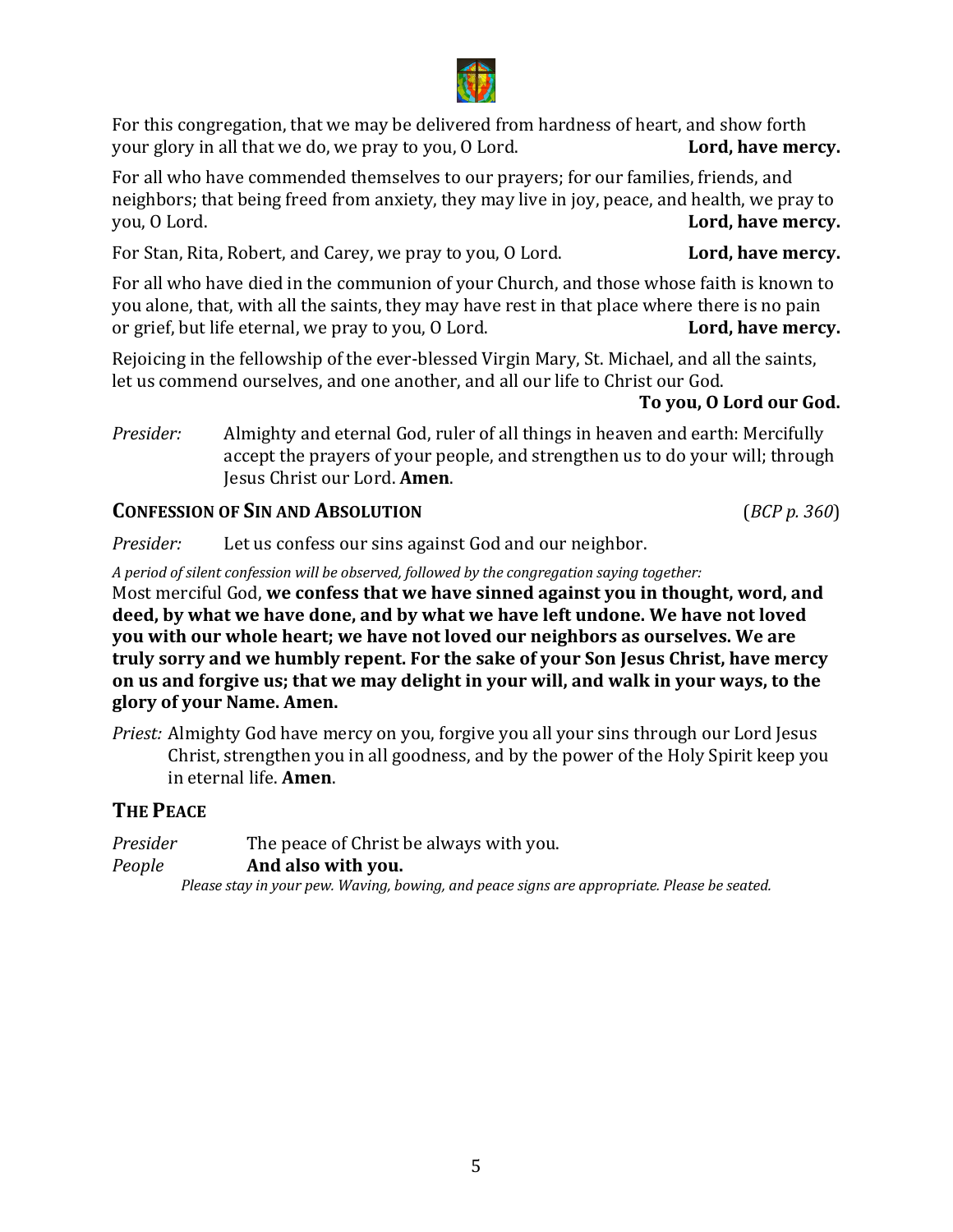For this congregation, that we may be delivered from hardness of heart, and show forth your glory in all that we do, we pray to you, O Lord. **Lord, have mercy.** your glory in all that we do, we pray to you, O Lord.

For all who have commended themselves to our prayers; for our families, friends, and neighbors; that being freed from anxiety, they may live in joy, peace, and health, we pray to you, O Lord. Lord, have mercy.

For Stan, Rita, Robert, and Carey, we pray to you, O Lord. **Lord, have mercy.** 

For all who have died in the communion of your Church, and those whose faith is known to you alone, that, with all the saints, they may have rest in that place where there is no pain<br>or grief, but life eternal, we pray to you, O Lord.<br>**Lord, have mercy.** or grief, but life eternal, we pray to you, O Lord.

Rejoicing in the fellowship of the ever-blessed Virgin Mary, St. Michael, and all the saints, let us commend ourselves, and one another, and all our life to Christ our God.

#### To you, O Lord our God.

*Presider:* Almighty and eternal God, ruler of all things in heaven and earth: Mercifully accept the prayers of your people, and strengthen us to do your will; through Jesus Christ our Lord. **Amen**.

#### **CONFESSION OF SIN AND ABSOLUTION** (*BCP p. 360*)

*Presider:* Let us confess our sins against God and our neighbor.

*A* period of silent confession will be observed, followed by the congregation saying together:

Most merciful God, we confess that we have sinned against you in thought, word, and deed, by what we have done, and by what we have left undone. We have not loved **you** with our whole heart; we have not loved our neighbors as ourselves. We are truly sorry and we humbly repent. For the sake of your Son Jesus Christ, have mercy **on** us and forgive us; that we may delight in your will, and walk in your ways, to the **glory of your Name. Amen.**

*Priest:* Almighty God have mercy on you, forgive you all your sins through our Lord Jesus Christ, strengthen you in all goodness, and by the power of the Holy Spirit keep you in eternal life. **Amen**.

#### **THE PEACE**

*Presider* The peace of Christ be always with you.<br>People **And also with you.** And also with you. Please stay in your pew. Waving, bowing, and peace signs are appropriate. Please be seated.

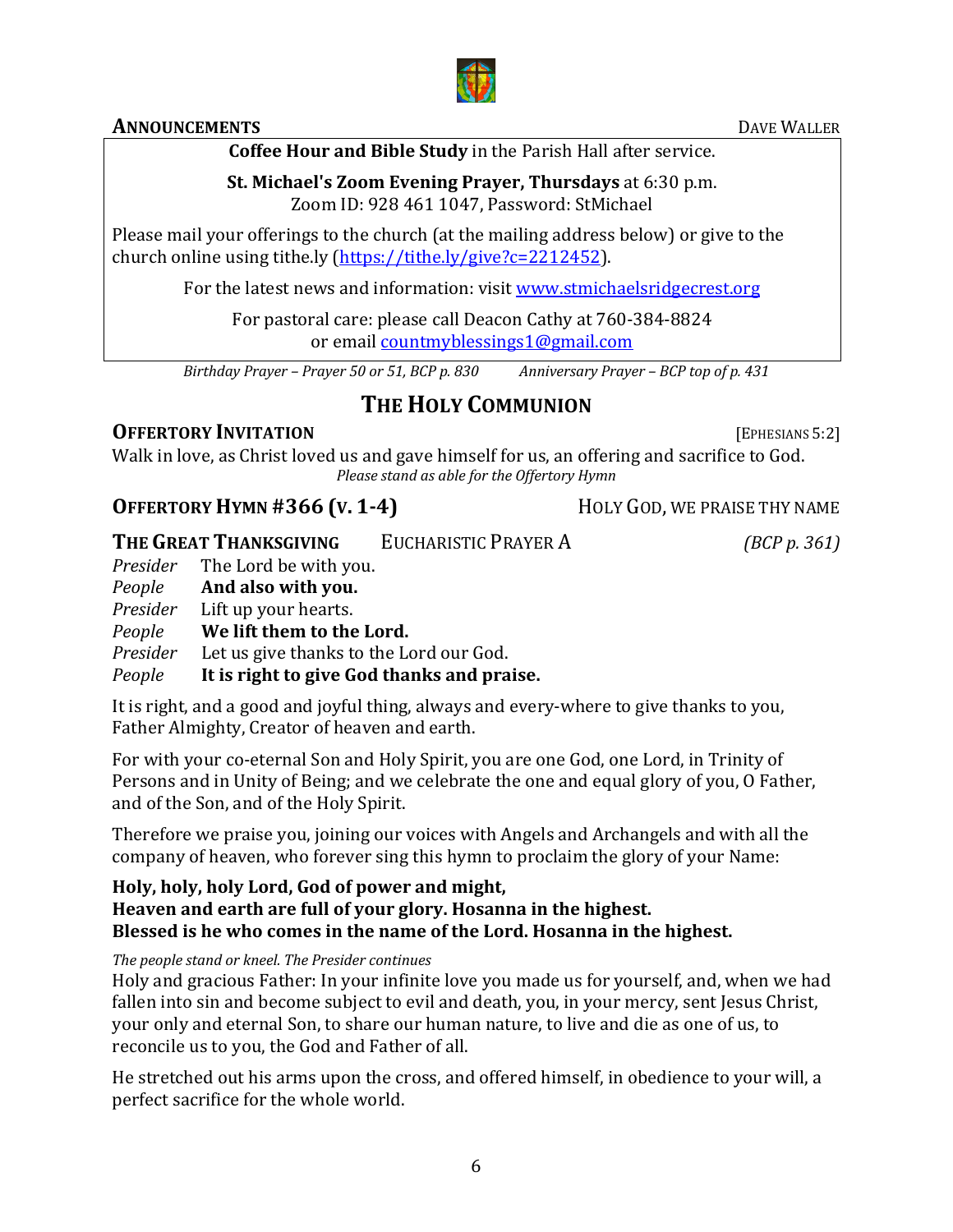#### **ANNOUNCEMENTS** DAVE **DAVE WALLER**

### **Coffee Hour and Bible Study** in the Parish Hall after service.

#### **St. Michael's Zoom Evening Prayer, Thursdays** at 6:30 p.m. Zoom ID: 928 461 1047, Password: StMichael

Please mail your offerings to the church (at the mailing address below) or give to the church online using tithe.ly (https://tithe.ly/give?c=2212452).

For the latest news and information: visit www.stmichaelsridgecrest.org

For pastoral care: please call Deacon Cathy at 760-384-8824 or email **countmyblessings1@gmail.com** 

*Birthday Prayer – Prayer 50 or 51, BCP p. 830 Anniversary Prayer – BCP top of p. 431*

# **THE HOLY COMMUNION**

### **OFFERTORY INVITATION** [EPHESIANS 5:2]

Walk in love, as Christ loved us and gave himself for us, an offering and sacrifice to God. *Please stand as able for the Offertory Hymn* 

# **OFFERTORY HYMN #366 (V. 1-4)** HOLY GOD, WE PRAISE THY NAME

|          | THE GREAT THANKSGIVING                  | <b>EUCHARISTIC PRAYER A</b>                | (BCP p. 361) |
|----------|-----------------------------------------|--------------------------------------------|--------------|
|          | <i>Presider</i> The Lord be with you.   |                                            |              |
| People   | And also with you.                      |                                            |              |
|          | <i>Presider</i> Lift up your hearts.    |                                            |              |
| People   | We lift them to the Lord.               |                                            |              |
| Presider | Let us give thanks to the Lord our God. |                                            |              |
| People   |                                         | It is right to give God thanks and praise. |              |

It is right, and a good and joyful thing, always and every-where to give thanks to you, Father Almighty, Creator of heaven and earth.

For with your co-eternal Son and Holy Spirit, you are one God, one Lord, in Trinity of Persons and in Unity of Being; and we celebrate the one and equal glory of you, O Father, and of the Son, and of the Holy Spirit.

Therefore we praise you, joining our voices with Angels and Archangels and with all the company of heaven, who forever sing this hymn to proclaim the glory of your Name:

#### Holy, holy, holy Lord, God of power and might, Heaven and earth are full of your glory. Hosanna in the highest. **Blessed is he who comes in the name of the Lord. Hosanna in the highest.**

#### *The people stand or kneel. The Presider continues*

Holy and gracious Father: In your infinite love you made us for yourself, and, when we had fallen into sin and become subject to evil and death, you, in your mercy, sent Jesus Christ, your only and eternal Son, to share our human nature, to live and die as one of us, to reconcile us to you, the God and Father of all.

He stretched out his arms upon the cross, and offered himself, in obedience to your will, a perfect sacrifice for the whole world.

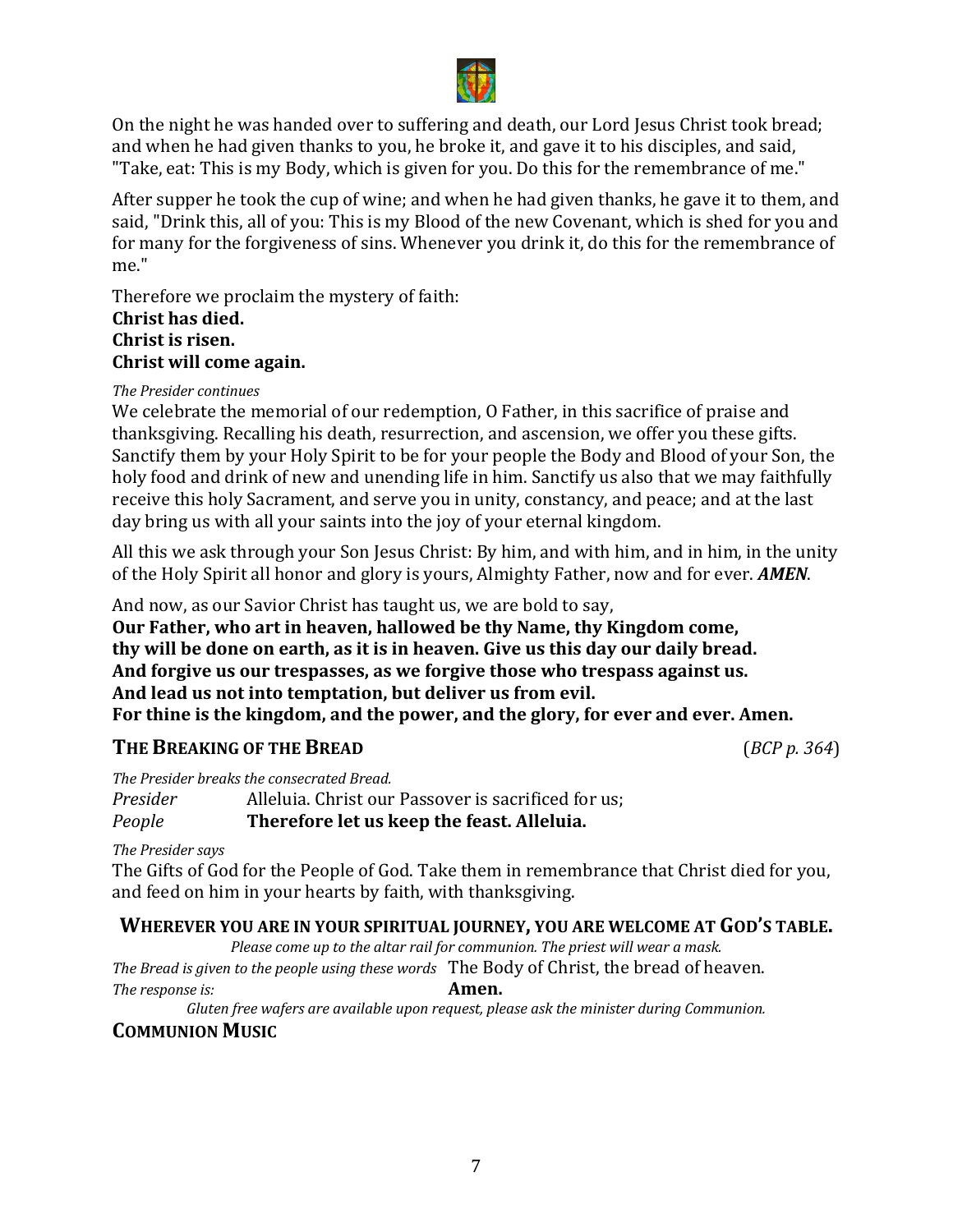

On the night he was handed over to suffering and death, our Lord Jesus Christ took bread; and when he had given thanks to you, he broke it, and gave it to his disciples, and said, "Take, eat: This is my Body, which is given for you. Do this for the remembrance of me."

After supper he took the cup of wine; and when he had given thanks, he gave it to them, and said, "Drink this, all of you: This is my Blood of the new Covenant, which is shed for you and for many for the forgiveness of sins. Whenever you drink it, do this for the remembrance of me."

Therefore we proclaim the mystery of faith:

#### **Christ has died. Christ is risen. Christ will come again.**

#### *The Presider continues*

We celebrate the memorial of our redemption, O Father, in this sacrifice of praise and thanksgiving. Recalling his death, resurrection, and ascension, we offer you these gifts. Sanctify them by your Holy Spirit to be for your people the Body and Blood of your Son, the holy food and drink of new and unending life in him. Sanctify us also that we may faithfully receive this holy Sacrament, and serve you in unity, constancy, and peace; and at the last day bring us with all your saints into the joy of your eternal kingdom.

All this we ask through your Son Jesus Christ: By him, and with him, and in him, in the unity of the Holy Spirit all honor and glory is yours, Almighty Father, now and for ever. **AMEN**.

And now, as our Savior Christ has taught us, we are bold to say, **Our Father, who art in heaven, hallowed be thy Name, thy Kingdom come,** 

thy will be done on earth, as it is in heaven. Give us this day our daily bread. And forgive us our trespasses, as we forgive those who trespass against us. And lead us not into temptation, but deliver us from evil. For thine is the kingdom, and the power, and the glory, for ever and ever. Amen.

### **THE BREAKING OF THE BREAD** (*BCP p.* 364)

*The Presider breaks the consecrated Bread.* 

*Presider* Alleluia. Christ our Passover is sacrificed for us;<br>*People* **Therefore let us keep the feast. Alleluia. Therefore let us keep the feast. Alleluia.** 

#### *The Presider says*

*The response is:* 

The Gifts of God for the People of God. Take them in remembrance that Christ died for you, and feed on him in your hearts by faith, with thanksgiving.

#### WHEREVER YOU ARE IN YOUR SPIRITUAL JOURNEY, YOU ARE WELCOME AT GOD'S TABLE.

Please come up to the altar rail for communion. The priest will wear a mask.

*The Bread is given to the people using these words* The Body of Christ, the bread of heaven.<br>The response is:<br>**Amen.** 

Gluten free wafers are available upon request, please ask the minister during Communion.

#### **COMMUNION MUSIC**